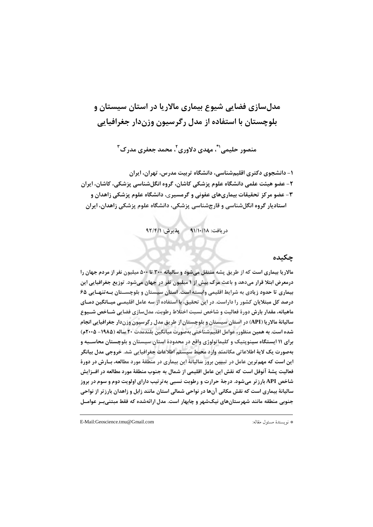# مدل سازی فضایی شیوع بیماری مالار با در استان سیستان و بلوچستان با استفاده از مدل رگرسیون وزندار جغرافیایی

منصور حليمے ( ؓ، مهدي دلاوري ؒ، محمد جعفري مدر ک ّ

۱– دانشجوی دکتری اقلیمشناسی، دانشگاه تربیت مدرس، تهران، ایران ۲– عضو هیئت علمی دانشگاه علوم پزشکی کاشان، گروه انگلشناسی پزشکی، کاشان، ایران

۳- عضو مرکز تحقیقات بیماریهای عفونی و گرمسیری، دانشگاه علوم پزشکی زاهدان و استادیار گروه انگلشناسی و قارچشناسی پزشکی، دانشگاه علوم پزشکی زاهدان، ایران

دريافت: ٩١/١٠/١٨ \_ يذيرش: ٩٢/١/١

# چکىدە

مالاریا بیماری است که از طریق پشه منتقل می شود و سالیانه ۳۰۰ تا ۵۰۰ میلیون نفر از مردم جهان را درمعرض ابتلا قرار میدهد و باعث مرگ بیش از ۱ میلیون نفر در جهان میشود. توزیع جغرافیایی این بیماری تا حدود زیادی به شرایط اقلیمی وابسته است. استان سیستان و بلوچســتان بــهتنهــایی ۶۵ درصد کل مبتلایان کشور را داراست. در این تحقیق، با استفاده از سه عامل اقلیمـی میـانگین دمـای ماهيانه، مقدار بارش دورة فعاليت و شاخص نسبت اختلاط رطوبت، مدلسازي فضايي شـاخص شـيوع سالیانهٔ مالار یا (API) در استان سیستان و بلوچستان از طریق مدل رگرسیون وزندار جغرافیایی انجام شده است. به همین منظور، عوامل اقلیمشناختی بهصورت میانگین بلندمدت ۲۰ ساله (۱۹۸۵– ۲۰۰۵م) برای ۱۱ ایستگاه سینویتیک و کلیماتولوژی واقع در محدودهٔ استان سیستان و بلوچستان محاســبه و بهصورت يک لايۀ اطلاعاتي مکانمند وارد محيط سيستم اطلاعات جغرافيايي شد. خروجي مدل بيانگر این است که مهم ترین عامل در تبیین بروز سالیانهٔ این بیماری در منطقهٔ مورد مطالعه، بـارش در دورهٔ فعاليت پشهٔ آنوفل است که نقش اين عامل اقليمي از شمال به جنوب منطقهٔ مورد مطالعه در افــزايش شاخص API بارزتر میشود. درجهٔ حرارت و رطوبت نسبی بهترتیب دارای اولویت دوم و سوم در بروز سالیانهٔ بیماری است که نقش مکانی آنها در نواحی شمالی استان مانند زابل و زاهدان بارزتر از نواحی جنوبی منطقه مانند شهرستانهای نیکشهر و چابهار است. مدل ارائهشده که فقط مبتنی ب عوامــل

E-Mail:Geoscience.tmu@Gmail.com

\* نويسندهٔ مسئول مقاله: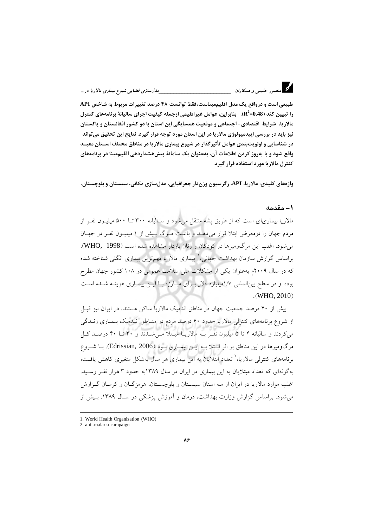سے مدل سازی فضایی شیوع بیماری مالاریا در...

طبيعي است و درواقع يک مدل اقليمميناست، فقط توانست ۴۸ درصد تغييرات مربوط به شاخص API را تبيين كند (R $^2$ =0.48). ينايراين، عوامل غيراقليمي ازجمله كيفيت إجراي ساليانهٔ برنامههاي كنترل مالاریا، شرایط اقتصادی-اجتماعی و موقعیت همسایگی این استان با دو کشور افغانستان و پاکستان نیز باید در بررسی اییدمیولوژی مالاریا در این استان مورد توجه قرار گیرد. نتایج این تحقیق می تواند در شناسایی و اولویتبندی عوامل تأثیرگذار در شیوع بیماری مالاریا در مناطق مختلف اســتان مفیــد واقع شود و با بهروز کردن اطلاعات آن، بهعنوان یک سامانهٔ پیشهشداردهی اقلیممبنا در برنامههای کنترل مالار با مورد استفاده قرار گیرد.

واژههای کلیدی: مالاریا، API، رگرسیون وزندار جغرافیایی، مدلسازی مکانی، سیستان و بلوچستان.

#### 1 – مقدمه

ر<br>تا منصور حلیمی و همکاران <sub>ـــــ</sub>

مالاریا بیماریای است که از طریق پشه منتقل می شود و سالیانه ۳۰۰ تــا ۵۰۰ میلیـون نفـر از مردم جهان را درمعرض ابتلا قرار میدهـد و باعـث مـرگ بـیش از ۱ میلیـون نفـر در جهـان می شود. اغلب این مرگومیرها در کودکان و زنان باردار مشاهده شده است (WHO, 1998). براساس گزارش سازمان بهداشت جهانی،` بیماری مالاریا مهمترین بیماری انگلی شناخته شده که در سال ۲۰۰۹م بهعنوان یکی از مشکلات ملی سلامت عمومی در ۱۰۸ کشور جهان مطرح بوده و در سطح بینالمللی ۱/۷میلیارد دلار بـرای مبـارزه بـا ایـن بیمـاری هزینـه شـده اسـت  $(WHO, 2010)$ 

بیش از ۴۰ درصد جمعیت جهان در مناطق اندمیک مالاریا ساکن هستند. در ایران نیز قبـل از شروع برنامههای کنترلی مالاریا حدود ۶۰ درصد مردم در منـاطق انـدمیک بیمـاری زنـدگی می کردند و سالیانه ۴ تا ۵ میلیون نفس بـه مالاریـا میـتلا مـی شـدند و ۳۰ تـا ۴۰ درصـد کـل مرگومیرها در این مناطق بر اثر ابـتلا بــه ایــن بیمــاری بــود (Edrissian, 2006). بــا شــروع برنامههای کنترلی مالاریا،<sup>۲</sup> تعداد ابتلایان به این بیماری هر سال بهشکل متغیری کاهش یافت؛ بهگونهای که تعداد مبتلایان به این بیماری در ایران در سال ۱۳۸۹به حدود ۳ هزار نفـر رسـید. اغلب موارد مالاریا در ایران از سه استان سیسـتان و بلوچسـتان، هرمزگـان و کرمـان گـزارش می شود. براساس گزارش وزارت بهداشت، درمان و آموزش پزشکی در سـال ۱۳۸۹، بـیش از

<sup>1.</sup> World Health Organization (WHO)

<sup>2.</sup> anti-malaria campaign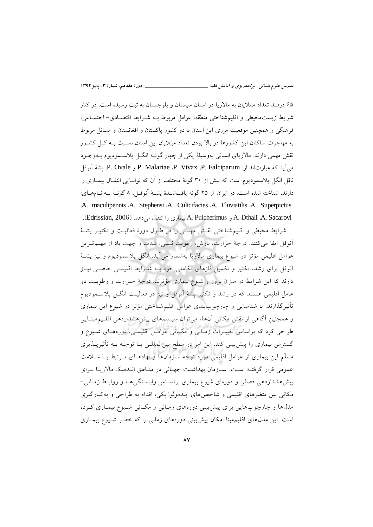۶۵ درصد تعداد مبتلایان به مالاریا در استان سیستان و بلوچستان به ثبت رسیده است. در کنار شرايط زيست محيطي و اقليم شناختي منطقه، عوامل مربوط بـه شـرايط اقتصـادي- اجتمـاعي، فرهنگی و همچنین موقعیت مرزی این استان با دو کشور پاکستان و افغانستان و مسائل مربوط به مهاجرت ساکنان این کشورها در بالا بودن تعداد مبتلایان این استان نسـبت بـه کـل کشـور نقش مهمی دارند. مالاریای انسانی بهوسیلهٔ یکی از چهار گونـه انگــل پلاســمودیوم بــهوجـود مِّي آيد كه عبارتاند از: P. Malariae .P. Vivax .P. Falciparum و P. Ovale. يشهْ آنوفل ناقل انگل پلاسمودیوم است که بیش از ۳۰ گونهٔ مختلف از آن که توانـایی انتقـال بیمــاری را دارند، شناخته شده است. در ايران از ۲۵ گونه يافتشـدۀ پشــۀ آنوفـل، ۸ گونــه بــه نــامهــاي: A. maculipennis A. Stephensi A. Culicifacies A. Fluviatilis A. Superpictus A. Dthali ،A. Sacarovi و A. Pulcherimus بيماري را انتقال مي دهند (Edrissian, 2006). شرایط محیطی و اقلیم شناختی نقـش مهمـی را در طـول دورهٔ فعالیـت و تکثیــر پشــهٔ

۔<br>آنوفل ایفا میکنند. درجهٔ حرارت، بارش، رطوبت نسبی، شدت و جهت باد از مهـم *تـر*ین عوامل اقلیمی مؤثر در شیوع بیماری مالاریا بهشمار می آید. انگل پلاسمودیوم و نیز پشـهٔ آنوفل برای رشد، تکثیر و تکمیل فازهای تکاملی خود بـه شـرایط اقلیمـی خاصـی نیـاز دارند که این شرایط در میزان بروز و شیوع بیماری مؤثرند. درجهٔ حـرارت و رطوبـت دو عامل اقلیمی هستند که در رشد و تکثیر پشهٔ آنوفل و نیز در فعالیت انگــل پلاســمودیوم تأثیرگذارند. با شناسایی و چارچوببندی عوامل اقلیمشناختی مؤثر در شیوع این بیماری و همچنین آگاهی از نقش مکانی آنها، میتوان سیستمهای پیشهشداردهی اقلـیممبنـایی طراحي كرد كه براساس تغييـرات زمـاني و مكـاني عوامـل اقليمـي، دورههـاي شـيوع و گسترش بیماری را پیشبینی کند. این امر در سطح بین المللـی بـا توجـه بـه تأثیرپـذیری مسلَّم این بیماری از عوامل اقلیمی مورد توجه سازمانها و نهادهـای مـرتبط بـا سـلامت عمومی قرار گرفتـه اسـت. سـّازمان بهداشـت جهـانی در منـاطق انـدمیک مالاریـا بـرای پیش،هشداردهی فصلی و دورهای شیوع بیماری براسـاس وابسـتگی،هـا و روابـط زمـانی– مکانی بین متغیرهای اقلیمی و شاخصهای ایپدمولوژیکی، اقدام به طراحی و به کـارگیری مدلها و چارچوبهایی برای پیش بینی دورههای زمـانی و مکـانی شـیوع بیمـاری کـرده است. این مدل های اقلیم مبنا امکان پیش بینی دورههای زمانی را که خطـر شـیوع بیمـاری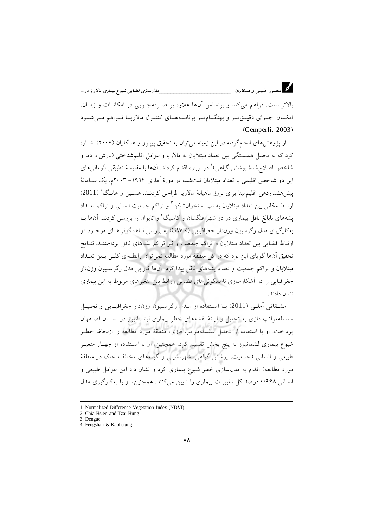بالاتر است، فراهم می کند و براساس آنها علاوه بر صرفه جبوبی در امکانیات و زمیان، امکــان اجــرای دقیـــقتــر و بهنگـــامتــر برنامــه هــای کنتــرل مالاریــا فــراهم مـــی شـــود

.(Gemperli,  $2003$ )

از پژوهشهای انجامگرفته در این زمینه میتوان به تحقیق پیپترو و همکاران (۲۰۰۷) اشــاره کرد که به تحلیل همبستگی بین تعداد مبتلایان به مالاریا و عوامل اقلیمشناختی (بارش و دما و شاخص اصلاح شدهٔ پوشش گیاهی) ٔ در اریتره اقدام کردند. آنها با مقایسهٔ تطبیقی آنومالی های این دو شاخص اقلیمی با تعداد مبتلایان ثبتشده در دورهٔ آماری ۱۹۹۶–۲۰۰۳م، یک سـامانهٔ پیش هشداردهی اقلیم مبنا برای بروز ماهیانهٔ مالاریا طراحی کردنــد. هســین و هانـگ' (2011) ارتباط مکانی بین تعداد مبتلایان به تب استخوانشکن<sup>۳</sup> و تراکم جمعیت انسان*ی* و تراکم تعــداد یشههای نابالغ ناقل بیماری در دو شهر فنگشان و کاسیگ ٔ و تایوان را بررسی کردند. آنها بــا بهکارگیری مدل رگرسیون وزندار جغرافیایی (GWR) به بررسی نــاهمگونی هــای موجــود در ارتباط فضایی بین تعداد مبتلایان و تراکم جمعیت و نیز تراکم پشههای ناقل پرداختنــد. نتــایج تحقیق آنها گویای این بود که در کل منطقهٔ مورد مطالعه نمیتوان رابطـهای کلـی بـین تعــداد مبتلایان و تراکم جمعیت و تعداد پشههای ناقل پیدا کرد. آنها کارایی مدل رگرستون وزندار جغرافیایی را در آشکارسازی ناهمگونیهای فضایی روابط بین متغیرهای مربوط به این بیماری نشان دادند.

مشـقاتی آملـی (2011) بــا اسـتفاده از مــدل رگرسـيون وزن‹دار جغرافيــايي و تحليــل سلسلهمراتب فازی به تحلیل و ارائهٔ نقشههای خطر بیماری لیشمانیوز در استان اصفهان يرداخت. او با استفاده از تحليل سلسلهمراتب فازي، منطقهٔ مورد مطالعه را ازلحاظ خطـر شیوع بیماری لشمانیوز به پنج بخش تقسیم کرد. همچنین، او با اسـتفاده از چهـار متغیــر طبیعی و انسانی (جمعیت، پوشش گیاهی، شهرنشینی و گونههای مختلف خاک در منطقهٔ مورد مطالعه) اقدام به مدل سازی خطر شیوع بیماری کرد و نشان داد این عوامل طبیعی و انسانی ۱٬۹۶۸ درصد کل تغییرات بیماری را تبیین می کنند. همچنین، او با به کارگیری مدل

<sup>1.</sup> Normalized Difference Vegetation Index (NDVI)

<sup>2.</sup> Chia-Hsien and Tzai-Hung

<sup>3.</sup> Dengue

<sup>4.</sup> Fengshan & Kaohsiung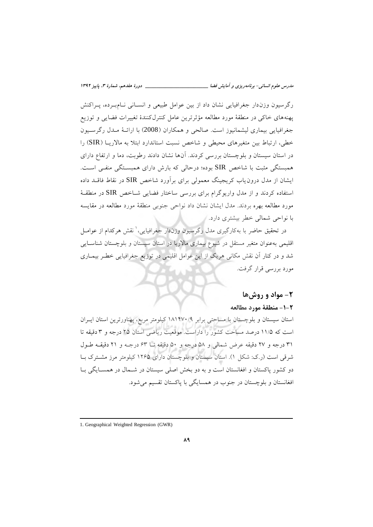رگرسیون وزندار جغرافیایی نشان داد از بین عوامل طبیعی و انسـانی نــامبـرده، پــراکنش یهنههای خاکی در منطقهٔ مورد مطالعه مؤثرترین عامل کنترل کنندهٔ تغییرات فضایی و توزیع جغرافیایی بیماری لیشمانیوز است. صالحی و همکاران (2008) با ارائـهٔ مـدل رگرسـیون خطی، ارتباط بین متغیرهای محیطی و شاخص نسبت استاندارد ابتلا به مالاریـا (SIR) را در استان سیستان و بلوچستان بررسی کردند. آنها نشان دادند رطوبت، دما و ارتفاع دارای همبستگی مثبت با شاخص SIR بوده؛ درحالی که بارش دارای همبستگی منفـی اسـت. ایشان از مدل درون یاب کریجینگ معمولی برای برآورد شاخص SIR در نقاط فاقــد داده استفاده کردند و از مدل واریوگرام برای بررسی ساختار فضایی شــاخص SIR در منطقــهٔ مورد مطالعه بهره بردند. مدل ایشان نشان داد نواحی جنوبی منطقهٔ مورد مطالعه در مقایسه با نواحی شمالی خطر بیشتری دارد.

در تحقيق حاضر با بهكارگيري مدل رگرسيون وزندار جغرافيايي، ٰ نقش هركدام از عوامــل اقلیمی بهعنوان متغیر مستقل در شیوع بیماری مالاریا در استان سیستان و بلوچستان شناسـایی شد و در کنار آن نقش مکانی هریک از این عوامل اقلیمی در توزیع جغرافیایی خطـر بیمـاری مورد بررسی قرار گرفت.

## ۲- مواد و روش ها

#### ٢-١- منطقة مورد مطالعه

استان سیستان و بلوچستان با مساحتی برابر ۱۸۱۴۷۰/۹ کیلومتر مربع، پهناورترین استان ایــران است که ۱۱/۵ درصد مساحت کشور را داراست. موقعیت ریاضی استان ۲۵ درجه و ۳ دقیقه تا ٣١ درجه و ٢٧ دقيقه عرض شمالي و ٥٨ درجه و ٥٠ دقيقه تــا ۶٣ درجـه و ٢١ دقيقـه طـول شرقی است (ر.ک: شکل ۱). استان سیستان و بلوچستان دارای ۱۲۶۵ کیلومتر مرز مشترک بـا دو کشور پاکستان و افغانستان است و به دو بخش اصلی سیستان در شـمال در همسـایگی بـا افغانستان و بلوچستان در جنوب در همسایگی با پاکستان تقسیم می شود.

<sup>1.</sup> Geographical Weighted Regression (GWR)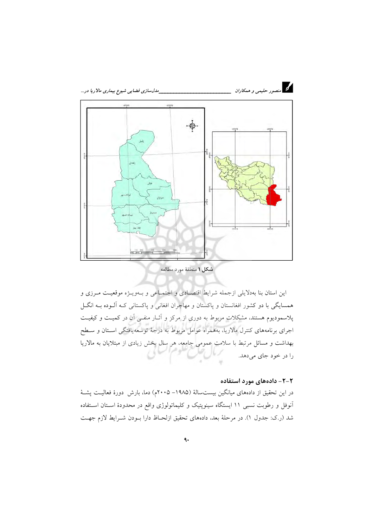

#### شكل ١ منطقة مورد مطالعه

این استان بنا بهدلایلی ازجمله شرایط اقتصادی و اجتمـاعی و بـهویـــژه موقعیــت مــرزی و همسایگی با دو کشور افغانستان و پاکستان و مهاجران افغانی و پاکستانی کـه آلــوده بــه انگــل پلاسمودیوم هستند، مشکلات مربوط به دوری از مرکز و آثـار منفـی آن در کمیـت و کیفیـت اجرای برنامههای کنترل مالاریا، بههمراه عوامل مربوط به درجهٔ توسعهیافتگی اسـتان و سـطح بهداشت و مسائل مرتبط با سلامت عمومی جامعه، هر سال بخش زیادی از مبتلایان به مالاریا را در خود جای میدهد.

#### ۲–۲– دادههای مورد استفاده

در این تحقیق از دادههای میانگین بیستسالهٔ (۱۹۸۵– ۲۰۰۵م) دما، بارش دورهٔ فعالیت پشـهٔ آنوفل و رطوبت نسبی ۱۱ ایستگاه سینوپتیک و کلیماتولوژی واقع در محدودهٔ اسـتان اسـتفاده شد (ر.ک: جدول ۱). در مرحلهٔ بعد، دادههای تحقیق ازلحـاظ دارا بــودن شــرایط لازم جهـت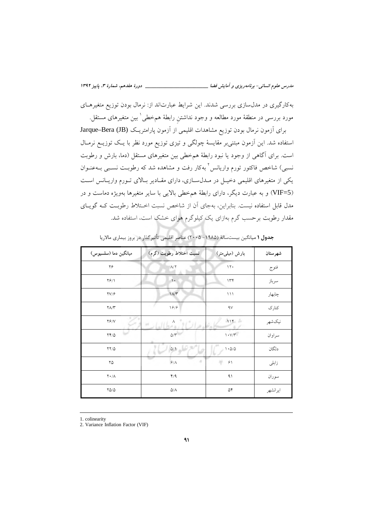به کارگیری در مدل سازی بررسی شدند. این شرایط عبارتاند از: نرمال بودن توزیع متغیرهای مورد بررسی در منطقهٔ مورد مطالعه و وجود نداشتن رابطهٔ همخطی ٰ بین متغیرهای مستقل.

برای آزمون نرمال بودن توزیع مشاهدات اقلیمی از آزمون پارامتریک Jarque–Bera (JB) استفاده شد. این آزمون مبتنی بر مقایسهٔ چولگی و تیزی توزیع مورد نظر با یک توزیـع نرمـال است. برای آگاهی از وجود یا نبود رابطهٔ همخطی بین متغیرهای مستقل (دما، بارش و رطوبت نسبی) شاخص فاکتور تورم واریانس<sup>۲</sup> بهکار رفت و مشاهده شد که رطوبت نسببی بـهعنـوان یکی از متغیرهای اقلیمی دخیـل در مـدلسازی، دارای مقـادیر بـالای تـورم واریـانس اسـت (VIF=5) و به عبارت دیگر، دارای رابطهٔ همخطی بالایی با سایر متغیرها بهویژه دماست و در مدل قابل استفاده نیست. بنابراین، بهجای آن از شاخص نسبت اخـتلاط رطوبـت کـه گویـای مقدار رطوبت برحسب گرم بهازای یک کیلوگرم هوای خشک است، استفاده شد.

| ميانگين دما (سلسيوس) | نسبت اختلاط رطوبت (گرم) | بارش (میلی متر)         | شهرستان  |
|----------------------|-------------------------|-------------------------|----------|
| ۲۶                   | $\Lambda/\Upsilon$      | $\mathcal{N}$           | فنوج     |
| $Y \hat{Y} / Y$      | $\mathbf{L}$            | 144                     | سرباز    |
| $\Upsilon V/\hat{r}$ | $1/\gamma$              | 111                     | چابهار   |
| $Y \wedge / Y$       | 19/9                    | $\gamma$                | كنارك    |
| $Y \hat{Y} / V$      | ٨<br><b>H</b>           | 114                     | نيكشهر   |
| $YY/\Delta$          | $\Delta/\Upsilon$       | 1.1                     | سراوان   |
| YY/0                 | $\Delta/\Upsilon$       | $1 \cdot \Delta/\Delta$ | دلگان    |
| ۲۵                   | ٠<br>9/1                | ۶۱                      | زابلى    |
| $Y \cdot / \Lambda$  | 4/9                     | ۹۱                      | سوران    |
| $YQ/\Delta$          | $\Delta/\Lambda$        | ۵۴                      | ايرانشهر |

جدول 1 میانگین بیستسالهٔ (۱۹۸۵ – ۲۰۰۵) عناصر اقلیمی تأثیر گذار در بروز بیماری مالاریا

1. colinearity

2. Variance Inflation Factor (VIF)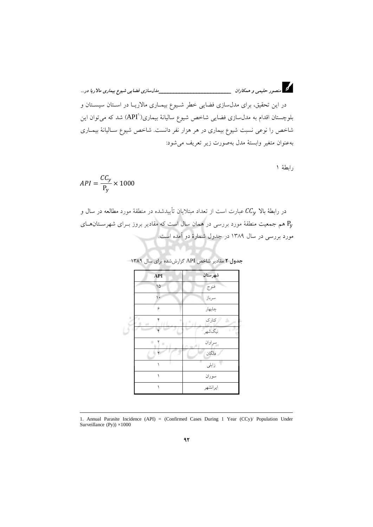د.<br>از منصور حلیمی و همکاران میسسسسسسسسسسسسسسسسازی فضایی شیوع بیماری مالاریا در…

در این تحقیق، برای مدلسازی فضایی خطر شـیوع بیمـاری مالاریــا در اسـتان سیسـتان و بلوچستان اقدام به مدل $بازی فضایی شاخص شیوع سالیانهٔ بیماری('API) شد که میتوان این$ شاخص را نوعی نسبت شیوع بیماری در هر هزار نفر دانست. شاخص شیوع سـالیانهٔ بیمــاری بهعنوان متغير وابستهٔ مدل بهصورت زير تعريف مي شود:

رابطة ١

$$
API = \frac{CC_y}{P_y} \times 1000
$$

در رابطهٔ بالا  $\mathcal{C}\mathcal{C}_{\mathbf{v}}$  عبارت است از تعداد مبتلایان تأییدشده در منطقهٔ مورد مطالعه در سال و هم جمعیت منطقهٔ مورد بررسی در همان سال است که مقادیر بروز بــرای شهرســتانهــای A .<br>مورد بررسی در سال ۱۳۸۹ در جدول شمارهٔ دو آمده است.

| <b>API</b> | شهرستان  |  |
|------------|----------|--|
| 10         | فنوج     |  |
| ۱.         | سرباز    |  |
| ۶          | چابهار   |  |
| ۴          | كنارك    |  |
|            | نيكشهر   |  |
| ٢          | سراوان   |  |
|            | دلگان    |  |
|            | زابلى    |  |
|            | سوران    |  |
|            | ايرانشهر |  |

جدول ۲ مقادیر شاخص API گزارششده برای سال ۱۳۸۹

1. Annual Parasite Incidence (API) = (Confirmed Cases During 1 Year (CCy)/ Population Under Surveillance  $(Py)$  × 1000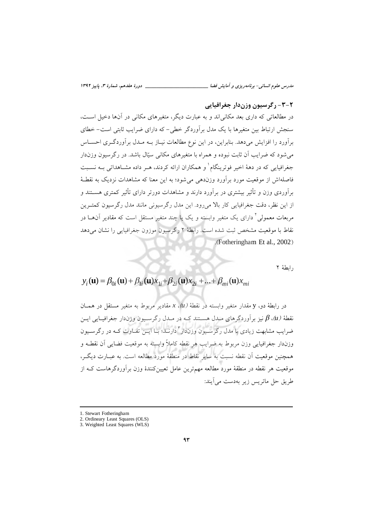\_ دورهٔ هفدهم، شمارهٔ ۳، یاییز ۱۳۹۲ مدرس علوم انسانی- برنامهریزی و آمایش فضا \_

## ۲-۳- رگرسیون وزندار جغرافیایی

در مطالعاتی که داری بعد مکانی اند و به عبارت دیگر، متغیرهای مکانی در آنها دخیل است، سنجش ارتباط بین متغیرها با یک مدل برآوردگر خطی– که دارای ضرایب ثابتی است–خطای برآورد را افزایش میدهد. بنابراین، در این نوع مطالعات نیـاز بـه مـدل برآوردگـری احسـاس می شود که ضرایب آن ثابت نبوده و همراه با متغیرهای مکانی سپّال باشد. در رگرسیون وزندار جغرافیایی که در دههٔ اخیر فوترینگام و همکاران ارائه کردند، هـر داده مشـاهداتی بــه نسـبت فاصلهاش از موقعیت مورد برآورد وزندهی می شود؛ به این معنا که مشاهدات نزدیک به نقطـهٔ برآوردی وزن و تأثیر بیشتری در برآورد دارند و مشاهدات دورتر دارای تأثیر کمتری هسـتند و از این نظر، دقت جغرافیایی کار بالا می(ود. این مدل رگرسیونی مانند مدل رگرسیون کمتبرین مربعات معمولی آ دارای یک متغیر وابسته و یک یا چند متغیر مستقل است که مقادیر آنهــا در نقاط با موقعیت مشخص ثبت شده است. رابطهٔ ۲ رگرسیون موزون جغرافیایی را نشان می دهد .(Fotheringham Et al., 2002)

رابطة ٢

$$
y_i(\mathbf{u}) = \beta_{0i}(\mathbf{u}) + \beta_{1i}(\mathbf{u})x_{1i} + \beta_{2i}(\mathbf{u})x_{2i} + \dots + \beta_{mi}(\mathbf{u})x_{mi}
$$

در رابطهٔ دو، y مقدار متغیر وابسته در نقطهٔ (u)، x مقادیر مربوط به متغیر مستقل در همــان نقطهٔ (u)،  $\beta$  نیز برآوردگرهای مـدل هسـتند کـه در مـدل رگرسـیون وزندار جغرافیـایی ایـن ضرایب مشابهت زیادی با مدل رگرسیون وزندار <sup>7</sup> دارنید؛ بیا این تفیاوت کیه در رگرسیون وزندار جغرافيايي وزن مربوط به ضرايب هر نقطه كاملاً وابسته به موقعيت فضايي أن نقطـه و همچنین موقعیت آن نقطه نسبت به سایر نقاط در منطقهٔ مورد مطالعه است. به عبـارت دیگـر، موقعیت هر نقطه در منطقهٔ مورد مطالعه مهم ترین عامل تعیین کنندهٔ وزن برآوردگرهاست کـه از طريق حل ماتريس زير بهدست مي آيند:

<sup>1.</sup> Stewart Fotheringham

<sup>2.</sup> Ordineary Least Squares (OLS)

<sup>3.</sup> Weighted Least Squares (WLS)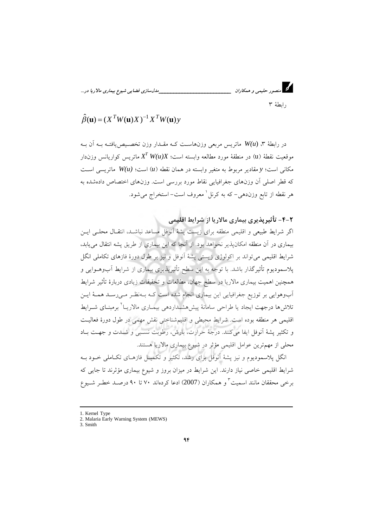\_مدلسازي فضايي شيوع بيماري مالاريا در...

, ايطة ٣

د.<br>منصور حليمي و همكاران

# $\hat{\beta}(\mathbf{u}) = (X^T W(\mathbf{u}) X)^{-1} X^T W(\mathbf{u}) y$

در رابطهٔ ۳، W(u) ماتریس مربعی وزنهاست کـه مقـدار وزن تخصـیص!فتـه بـه آن بـه موقعیت نقطهٔ (u) در منطقهٔ مورد مطالعه وابسته است؛  $X' \: W(u)$  ماتریس کواریانس وزندار مكاني است؛ y مقادير مربوط به متغير وابسته در همان نقطه (u) است؛ W(u) ماتريسي است که قطر اصلی آن وزنهای جغرافیایی نقاط مورد بررسی است. وزنهای اختصاص دادهشده به هر نقطه از تابع وزندهی- که به کرنل ٰ معروف است- استخراج می شود.

# ۲-۴ - تأثیرپذیری بیماری مالاریا از شرایط اقلیمی

اگر شرایط طبیعی و اقلیمی منطقه برای زیست پشهٔ آنوفل مساعد نباشـد، انتقـال محلـی ایـن بیماری در آن منطقه امکان پذیر نخواهد بود. از آنجا که این بیماری از طریق پشه انتقال می بابد، شرایط اقلیمی می تواند بر اکولوژی زیستی پشهٔ آنوفل و نیز بر طول دورهٔ فازهای تکاملی انگل پلاسمودیوم تأثیرگذار باشد. با توجه به این سطح تأثیرپذیری بیماری از شرایط آبوهــوایی و همچنین اهمیت بیماری مالاریا در سطح جهان، مطالعات و تحقیقات زیادی دربارهٔ تأثیر شرایط آبوهوایی بر توزیع جغرافیایی این بیماری انجام شده است کـه بـهنظـر مـیرسـد همـهٔ ایـن تلاش ها درجهت ایجاد یا طراحی سامانهٔ پیش هشــداردهی بیمــاری مالاریــا<sup>٬</sup> برمبنــای شــرایط اقلیمی هر منطقه بوده است. شرایط محیطی و اقلیمشناختی نقش مهمی در طول دورهٔ فعالیت و تكثير يشهٔ أنوفل ايفا مي كنند. درجهٔ حرارت، بارش، رطوبت نسبهي و شــدت و جهــت بــاد محلي از مهم ترين عوامل اقليمي مؤثر در شيوع بيماري مالاريا هستند.

انگل پلاسمودیوم و نیز پشهٔ آنوفل برای رشد، تکثیر و تکمیـل فازهـای تکـاملی خـود بـه شرایط اقلیمی خاصی نیاز دارند. این شرایط در میزان بروز و شیوع بیماری مؤثرند تا جایی که برخی محققان مانند اسمیت ؓ و همکاران (2007) ادعا کردهاند ۷۰ تا ۹۰ درصـد خطـر شـیوع

<sup>1.</sup> Kernel Type

<sup>2.</sup> Malaria Early Warning System (MEWS)

<sup>3.</sup> Smith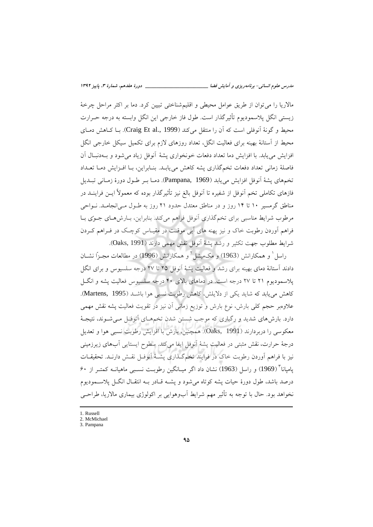مالاریا را می توان از طریق عوامل محیطی و اقلیمشناختی تبیین کرد. دما بر اکثر مراحل چرخهٔ زيستي انگل پلاسموديوم تأثيرگذار است. طول فاز خارجي اين انگل وابسته به درجه حــرارت محيط و گونهٔ آنوفلي است كه آن را منتقل ميكند (Craig Et al., 1999). بـا كــاهش دمــاي محیط از آستانهٔ بهینه برای فعالیت انگل، تعداد روزهای لازم برای تکمیل سیکل خارجی انگل افزایش می پابد. با افزایش دما تعداد دفعات خونخواری پشهٔ آنوفل زیاد می شود و بـهدنبـال آن فاصلهٔ زمانی تعداد دفعات تخمگذاری پشه کاهش می یابـد. بنـابراین، بـا افـزایش دمـا تعـداد تخمههای پشهٔ آنوفل افزایش می باید (Pampana, 1969). دمیا بسر طبول دورهٔ زمیانی تبیدیل فازهای تکاملی تخم آنوفل از شفیره تا آنوفل بالغ نیز تأثیرگذار بوده که معمولاً ایــن فراینــد در مناطق گرمسیر ۱۰ تا ۱۴ روز و در مناطق معتدل حدود ۲۱ روز به طـول مـی انجامـد. نــواحی مرطوب شرایط مناسبی برای تخمگذاری آنوفل فراهم میکند. بنابراین، بـارش۵حای جـوی بـا فراهم آوردن رطوبت خاک و نیز پهنه های آبی موقت در مقیـاس کوچـک در فـراهم کـردن شرايط مطلوب جهت تكثير و رشد يشهٔ آنوفل نقش مهمي دارند (Oaks, 1991).

راسل ٰ و همکارانش (1963) و مکمیشل ٗ و همکارانش (1996) در مطالعات مجــزًا نشــان دادند آستانهٔ دمای بهینه برای رشد و فعالیت پشهٔ آنوفل ۲۵ تا ۲۷ درجه سلسیوس و برای انگل یلاسمودیوم ۲۱ تا ۲۷ درجه است. در دماهای بالای ۴۰ درجه سلسیوس فعالیت پشه و انگــل كاهش مى يابد كه شايد يكى از دلايلش، كاهش رطوبت نسبى هوا باشـد (Martens, 1995). علاوهبر حجم کلی بارش، نوع بارش و توزیع زمانی آن نیز در تقویت فعالیت پشه نقش مهمی دارد. بارشهای شدید و رگباری که موجب شستن شدن تخمهای آنوفل می شـوند، نتیجـهٔ معکوسے را دربردارند (Oaks, 1991). همچنین، بارش با افزایش رطوبت نسبی هوا و تعدیل درجهٔ حرارت، نقش مثبتی در فعالیت پشهٔ آنوفل ایفا میکند. سطوح ایستایی آبهای زیرزمینی نیز با فراهم أوردن رطوبت خاک در فرایند تخمگذاری پشـهٔ اَنوفـل نقـش دارنـد. تحقیقـات ياميانا" (1969) و راسل (1963) نشان داد اگر ميــانگين رطوبــت نســبي ماهيانــه كـمتــر از ۶۰ درصد باشد، طول دورهٔ حیات پشه کوتاه میشود و پشـه قـادر بـه انتقـال انگــل پلاســمودیوم نخواهد بود. حال با توجه به تأثیر مهم شرایط اَبوهوایی بر اکولوژی بیماری مالاریا، طراحـی

1. Russell

<sup>2.</sup> McMichael

<sup>3.</sup> Pampana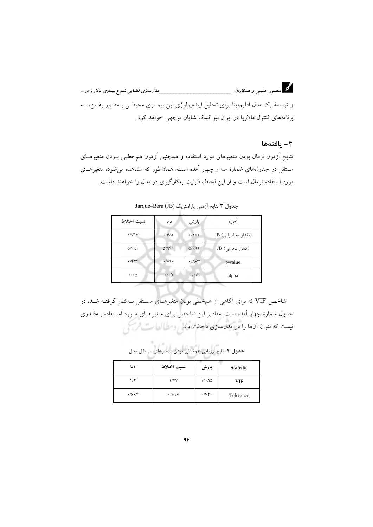د.<br>در استصور حلیمی و همکاران میسسسسسسسسسسسسسسسسسازی فضایی شیوع بیماری مالاریا در… و توسعهٔ یک مدل اقلیمهبنا برای تحلیل اپیدمیولوژی این بیمـاری محیطـی بـهطـور یقـین، بـه برنامههای کنترل مالاریا در ایران نیز کمک شایان توجهی خواهد کرد.

## $-1$ بافتهها

نتايج أزمون نرمال بودن متغيرهاى مورد استفاده و همچنين أزمون هم خطـي بــودن متغيرهــاي مستقل در جدولهای شمارهٔ سه و چهار آمده است. همان طور که مشاهده می شود، متغیرهای مورد استفاده نرمال است و از این لحاظ، قابلیت بهکارگیری در مدل را خواهند داشت.

| نسبت اختلاط               | دما                  | بارش                                 | آماره               |
|---------------------------|----------------------|--------------------------------------|---------------------|
| <b>I/VIV</b>              | $\cdot$ / $9\AA$     | $\cdot$ /۲ $\vee$ ۲                  | (مقدار محاسباتی) JB |
| 0/991                     | 0/991                | 0/991                                | (مقدار بحرانی) JB   |
| 4/575                     | ·/VYV                | $\cdot$ / $\wedge$ $\vee$ $\uparrow$ | p-value             |
| $\cdot$ / $\cdot$ $\circ$ | $\cdot/\cdot \Delta$ | $\cdot$ / $\cdot$ $\circ$            | alpha               |

Jarque-Bera (JB) بعدول ٣ نتايج آزمون پارامتريك

شاخص VIF که برای آگاهی از همخطی بودن متغیرهـای مسـتقل بـهکـار گرفتـه شـد، در جدول شمارهٔ چهار آمده است. مقادیر این شاخص برای متغیرهـای مـورد اسـتفاده بــهقــدری نیست که نتوان آنها را در مدل سازی دخالت داد. به مطراک است فرستمی

ج**دول ۴** نتايج ارزيابي همخطي بودن متغيرهاي مستقل مدل

| دما   | نسبت اختلاط | بارش                     | <b>Statistic</b> |
|-------|-------------|--------------------------|------------------|
| ۱٬۴   | <b>\/VV</b> | ۱/۰۸۵                    | <b>VIF</b>       |
| .7998 | .7919       | $\cdot$ / $\vee$ $\cdot$ | Tolerance        |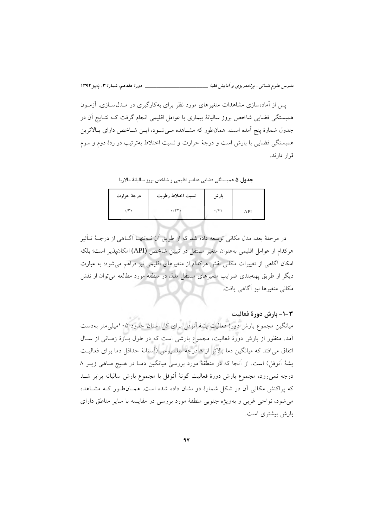\_\_ دورهٔ هفدهم، شمارهٔ ۳، پاییز ۱۳۹۲ مدرس علوم انسانی- برنامه ریزی و آمایش فضا \_\_

پس از آمادهسازی مشاهدات متغیرهای مورد نظر برای بهکارگیری در مــدلســازی، آزمــون همبستگی فضایی شاخص بروز سالیانهٔ بیماری با عوامل اقلیمی انجام گرفت کـه نتـایج اَن در جدول شمارهٔ پنج آمده است. همان طور که مشـاهده مـیشـود، ایـن شـاخص دارای بـالاترین همبستگی فضایی با بارش است و درجهٔ حرارت و نسبت اختلاط بهترتیب در ردهٔ دوم و سوم قرار دارند.

جدول ۵ همبستگی فضایی عناصر اقلیمی و شاخص بروز سالیانهٔ مالاریا

| درجهٔ حرارت   | نسبت اختلاط رطوبت | بارش        |     |
|---------------|-------------------|-------------|-----|
| $\cdot \pi$ . | $+75$             | $\cdot$ /۴۱ | API |

در مرحلهٔ بعد، مدل مکانی توسعه داده شد که از طریق اَن نــهتنهــا اَگــاهی از درجــهٔ تــأثیر هركدام از عوامل اقليمي به عنوان متغير مستقل در تيبين شاخص (API) امكان يذير است؛ بلكه امکان آگاهی از تغییرات مکانی نقش هرکدام از متغیرهای اقلیمی نیز فراهم می شود؛ به عبارت دیگر از طریق پهنهبندی ضرایب متغیرهای مستقل مدل در منطقهٔ مورد مطالعه می توان از نقش مکانی متغیرها نیز آگاهی یافت.

**٣-١- بارش دورة فعاليت** 

میانگین مجموع بارش دورهٔ فعالیت پشهٔ آنوفل برای کل استان حدود ۱۰۵میلی متر بهدست آمد. منظور از بارش دورهٔ فعالیت، مجموع بارشی است که در طول بـازهٔ زمـانی از سـال اتفاق می افتد که میانگین دما بالاتر از ۸ درجه سلسپوس (آستانهٔ حداقل دما برای فعالیت یشهٔ آنوفل) است. از آنجا که در منطقهٔ مورد بررسی میانگین دمـا در هـیچ مـاهی زیــر ۸ درجه نمی رود، مجموع بارش دورهٔ فعالیت گونهٔ آنوفل با مجموع بارش سالیانه برابر شــد که پراکنش مکانی آن در شکل شمارهٔ دو نشان داده شده است. همـان طور کـه مشـاهده می شود، نواحی غربی و بهویژه جنوبی منطقهٔ مورد بررسی در مقایسه با سایر مناطق دارای بارش بیشتری است.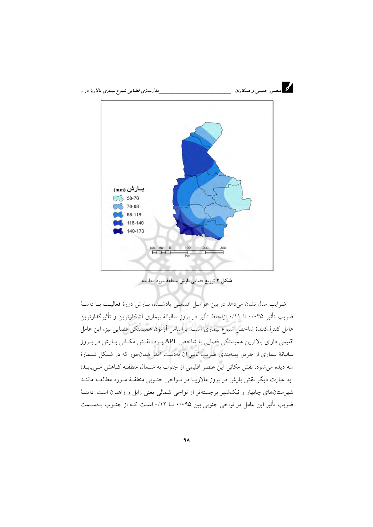

شكل ٢ توزيع فضايي بارش منطقة مورد مطالعه

ضرایب مدل نشان می دهد در بین عوامـل اقلیمـی یادشــده، بــارش دورهٔ فعالیـت بــا دامنــهٔ ضریب تأثیر ۰/۰۳۵ تا ۰/۱۱ ازلحاظ تأثیر در بروز سالیانهٔ بیماری آشکارترین و تأثیر گذارترین عامل کنترلکنندهٔ شاخص شیوع بیماری است. براساس آزمون همبستگی فضایی نیز، این عامل اقلیمی دارای بالاترین همبستگی فضایی با شاخص API بود. نقـش مکـانی بـارش در بـروز سالیانهٔ بیماری از طریق پهنهبندی ضریب تأثیر آن بهدست آمد. همانطور که در شـکل شــمارهٔ سه دیده می شود، نقش مکانی این عنصر اقلیمی از جنوب به شـمال منطقـه کـاهش مـییابـد؛ به عبارت دیگر نقش بارش در بروز مالاریــا در نــواحی جنــوبی منطقــهٔ مــورد مطالعــه ماننــد شهرستانهای چابهار و نیکشهر برجستهتر از نواحی شمالی یعنی زابل و زاهدان است. دامنـهٔ ضریب تأثیر این عامل در نواحی جنوبی بین ۰/۰۹۵ تــا ۰/۱۲ اسـت کـه از جنـوب بــهســمت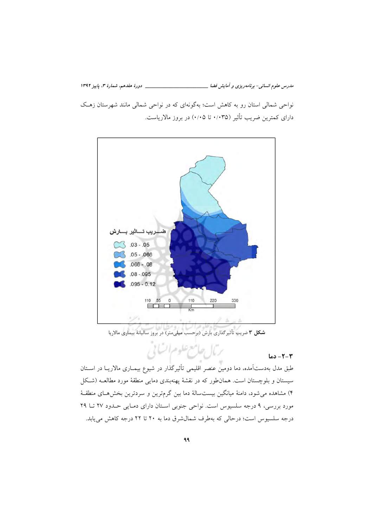نواحی شمالی استان رو به کاهش است؛ بهگونهای که در نواحی شمالی مانند شهرستان زهک دارای کمترین ضریب تأثیر (۰/۰۳۵ تا ۰/۰۵) در بروز مالاریاست.



**شکل ۳** ضریب تأثیر گذاری بارش (برحسب میلی متر) در بروز سالیانهٔ بیماری مالاریا

بربال جامع علوم انساني

## $t - 7 - c_0$ دما

طبق مدل بهدستآمده، دما دومین عنصر اقلیمی تأثیرگذار در شیوع بیمـاری مالاریــا در اســتان سیستان و بلوچستان است. همان طور که در نقشهٔ پهنهبندی دمایی منطقهٔ مورد مطالعـه (شـکل ۴) مشاهده می شود، دامنهٔ میانگین بیستسالهٔ دما بین گرمترین و سردترین بخشهـای منطقـهٔ مورد بررسی، ۹ درجه سلسیوس است. نواحی جنوبی استان دارای دمایی حدود ۲۷ تا ۲۹ درجه سلسیوس است؛ درحالی که بهطرف شمال شرق دما به ۲۰ تا ۲۲ درجه کاهش می یابد.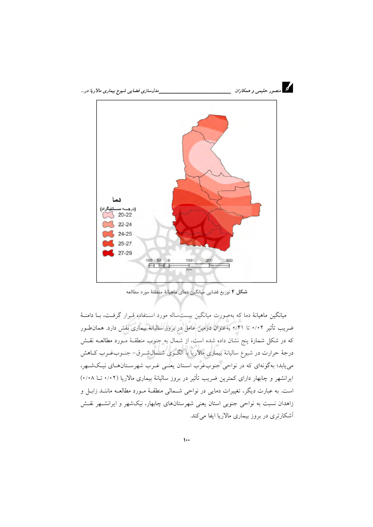

شكل ۴ توزيع فضايي ميانگين دماي ماهيانهٔ منطقهٔ مورد مطالعه

میانگین ماهیانهٔ دما که بهصورت میانگین بیستساله مورد استفاده قیرار گرفت، بـا دامنـهٔ ضریب تأثیر ۰/۰۲ تا ۰/۴۱ بهعنوان دومین عامل در بروز سالیانهٔ بیماری نقش دارد. همان طور که در شکل شمارهٔ پنج نشان داده شده است، از شمال به جنوب منطقـهٔ مـورد مطالعــه نقــش درجهٔ حرارت در شیوع سالیانهٔ بیماری مالاریا با الگـوی شـمالشـرق- جنـوبغـرب کـاهش می یابد؛ بهگونهای که در نواحی جنوب غرب استان یعنبی غـرب شهرسـتانهـای نیـکشـهر، ایرانشهر و چابهار دارای کمترین ضریب تأثیر در بروز سالیانهٔ بیماری مالاریا (۰/۰۲ تــا ۰/۰۸) است. به عبارت دیگر، تغییرات دمایی در نواحی شـمالی منطقـهٔ مـورد مطالعـه ماننــد زابـل و زاهدان نسبت به نواحی جنوبی استان یعنی شهرستانهای چابهار، نیکشهر و ایرانشـهر نقـش آشکارتری در بروز بیماری مالاریا ایفا می کند.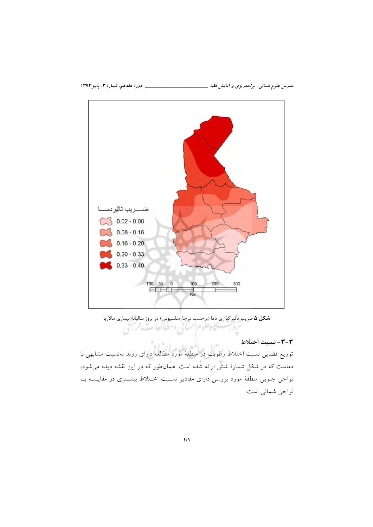\_\_\_\_\_\_\_\_\_\_\_\_\_\_\_\_ دورهٔ هفدهم، شمارهٔ ۳، پاییز ۱۳۹۲

مدرس علوم انسانی- برنامه ریزی و آمایش فضا \_\_\_\_\_\_\_\_



**شکل ۵** ضریب تأثیرگذاری دما (برحسب درجهٔ سلسیوس) در بروز سالیانهٔ بیماری مالاریا فسلحاه علوم الساتي ومطيالعات فرسي

٣-٣- نسبت اختلاط

.<br>توزیع فضایی نسبت اختلاط رطوبت در منطقهٔ مورد مطالعه دارای روند بهنسبت مشابهی با دماست که در شکل شمارهٔ شش ارائه شده است. همانطور که در این نقشه دیده می شود، نواحی جنوبی منطقهٔ مورد بررسی دارای مقادیر نسبت اختلاط بیشتری در مقایسـه بـا نواحي شمالي است.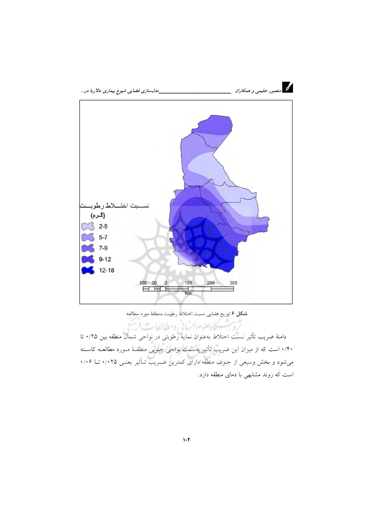

شكل ۶ توزيع فضايي نسبت اختلاط رطوبت منطقة مورد مطالعه

ترديب كاهلوم السابي ومطالعات فرسخ دامنهٔ ضریب تأثیر نسبت اختلاط بهعنوان نمایهٔ رطوبتی در نواحی شمال منطقه بین ۰/۲۵ تا ۰/۴۰ است که از میزان این ضریب تأثیر بهسمت نواحی جنوبی منطقـهٔ مـورد مطالعـه کاسـته میشود و بخش وسیعی از جنوب منطقه دارای کمترین ضـریب تـأثیر یعنـی ۰/۰۲۵ تــا ۰/۰۶ است که روند مشابهی با دمای منطقه دارد.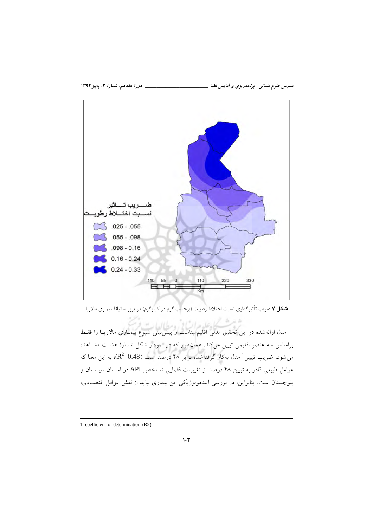\_\_ دورهٔ هفدهم، شمارهٔ ۳، پاییز ۱۳۹۲

مدرس علوم انسانی- برنامه ریزی و آمایش فضا \_\_\_\_\_



**شکل ۷** ضریب تأثیرگذاری نسبت اختلاط رطوبت (برحسب گرم در کیلوگرم) در بروز سالیانهٔ بیماری مالاریا

مدل ارائهشده در این تحقیق مدل<sub>ی</sub> اقلیمٖمبناست و پیش بینی شیوع بیمـاری مالاریـا را فقـط براساس سه عنصر اقلیمی تبیین میکند. همانطور که در نمودار شکل شمارهٔ هشت مشاهده میشود، ضریب تبیین ٰ مدل بهکار گرفتهشده برابر ۴۸ درصد است (R $^2$ =0.48)؛ به این معنا که عوامل طبیعی قادر به تبیین ۴۸ درصد از تغییرات فضایی شـاخص API در اسـتان سیسـتان و بلوچستان است. بنابراین، در بررسی اپیدمولوژیکی این بیماری نباید از نقش عوامل اقتصـادی،

<sup>1.</sup> coefficient of determination (R2)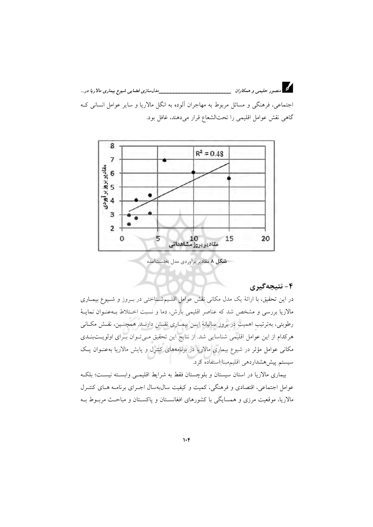د.<br>در استصور حلیمی و همکاران میسسسسسسسسسسسسسسسسازی فضایی شیوع بیماری مالاریا در… اجتماعي، فرهنگي و مسائل مربوط به مهاجران آلوده به انگل مالاريا و ساير عوامل انساني ک گاهی نقش عوامل اقلیمی را تحتالشعاع قرار می دهند، غافل بود.



شکل ۸ مقادیر برآوردی مدل بهدستآمده

# ۴- نتیجهگیری

در این تحقیق، با ارائهٔ یک مدل مکانی نقش عوامل اقلـیمشــناختی در بــروز و شــیوع بیمــاری مالاریا بررسی و مشخص شد که عناصر اقلیمی بارش، دما و نسبت اختلاط بـهعنـوان نمایـهٔ رطوبتی، بهترتیب اهمیت در بروز سالیانهٔ ایــن بیمــاری نقــش دارنــد. همچنــین، نقــش مکــانـی هركدام از اين عوامل اقليمي شناسايي شد. از نتايج اين تحقيق مـيتـوان بـراي اولويــتبنــدي مکانی عوامل مؤثر در شیوع بیماری مالاریا در برنامههای کنترل و پایش مالاریا بهعنـوان یـک سيستم پيش،شداردهي اقليم مبنا استفاده كرد.

بیماری مالاریا در استان سیستان و بلوچستان فقط به شرایط اقلیمـی وابسـته نیسـت؛ بلکـه عوامل اجتماعی، اقتصادی و فرهنگی، کمیت و کیفیت سال.بهسال اجـرای برنامـه هـای کنتـرل مالاریا، موقعیت مرزی و همسایگی با کشورهای افغانسـتان و پاکسـتان و مباحـث مربــوط بــه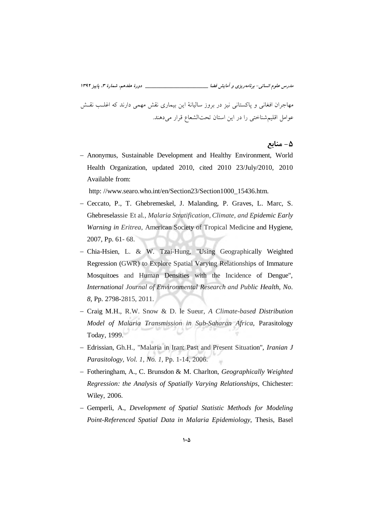مدرس علوم انسانی- برنامه ریزی و آمایش فضا \_\_\_\_\_\_\_\_\_\_\_\_\_\_\_\_\_\_\_\_\_\_\_\_\_\_\_\_\_\_\_ دورهٔ هفدهم، شمارهٔ ۳، پاییز ۱۳۹۲ مهاجران افغانی و پاکستانی نیز در بروز سالیانهٔ این بیماری نقش مهمی دارند که اغلـب نقـش عوامل اقلیم شناختی را در این استان تحتالشعاع قرار می دهند.

۵ – منابع

- Anonymus, Sustainable Development and Healthy Environment, World Health Organization, updated 2010, cited 2010 23/July/2010, 2010 Available from:

http://www.searo.who.int/en/Section23/Section1000 15436.htm.

- Ceccato, P., T. Ghebremeskel, J. Malanding, P. Graves, L. Marc, S. Ghebreselassie Et al., Malaria Stratification, Climate, and Epidemic Early Warning in Eritrea, American Society of Tropical Medicine and Hygiene, 2007, Pp. 61-68.
- Chia-Hsien, L. & W. Tzai-Hung, "Using Geographically Weighted Regression (GWR) to Explore Spatial Varying Relationships of Immature Mosquitoes and Human Densities with the Incidence of Dengue", International Journal of Environmental Research and Public Health, No. 8, Pp. 2798-2815, 2011.
- Craig M.H., R.W. Snow & D. le Sueur, A Climate-based Distribution Model of Malaria Transmission in Sub-Saharan Africa, Parasitology Today, 1999.
- Edrissian, Gh.H., "Malaria in Iran: Past and Present Situation", Iranian J Parasitology, Vol. 1, No. 1, Pp. 1-14, 2006.
- Fotheringham, A., C. Brunsdon & M. Charlton, Geographically Weighted Regression: the Analysis of Spatially Varying Relationships, Chichester: Wiley, 2006.
- Gemperli, A., Development of Spatial Statistic Methods for Modeling Point-Referenced Spatial Data in Malaria Epidemiology, Thesis, Basel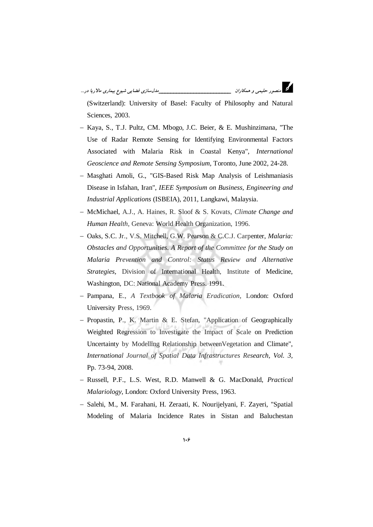$\overline{a}$ .<br>نصور حليمې و همکاران \_

(Switzerland): University of Basel: Faculty of Philosophy and Natural Sciences, 2003.

- Kaya, S., T.J. Pultz, CM. Mbogo, J.C. Beier, & E. Mushinzimana, "The Use of Radar Remote Sensing for Identifying Environmental Factors Associated with Malaria Risk in Coastal Kenya", International Geoscience and Remote Sensing Symposium, Toronto, June 2002, 24-28.
- Masghati Amoli, G., "GIS-Based Risk Map Analysis of Leishmaniasis Disease in Isfahan, Iran", IEEE Symposium on Business, Engineering and Industrial Applications (ISBEIA), 2011, Langkawi, Malaysia.
- McMichael, A.J., A. Haines, R. Sloof & S. Kovats, Climate Change and Human Health, Geneva: World Health Organization, 1996.
- Oaks, S.C. Jr., V.S. Mitchell, G.W. Pearson & C.C.J. Carpenter, *Malaria*: Obstacles and Opportunities. A Report of the Committee for the Study on Malaria Prevention and Control: Status Review and Alternative Strategies, Division of International Health, Institute of Medicine, Washington, DC: National Academy Press. 1991.
- Pampana, E., A Textbook of Malaria Eradication, London: Oxford University Press, 1969.
- Propastin, P., K. Martin & E. Stefan, "Application of Geographically Weighted Regression to Investigate the Impact of Scale on Prediction Uncertainty by Modelling Relationship between Vegetation and Climate", International Journal of Spatial Data Infrastructures Research, Vol. 3, Pp. 73-94, 2008.
- Russell, P.F., L.S. West, R.D. Manwell & G. MacDonald, Practical Malariology, London: Oxford University Press, 1963.
- Salehi, M., M. Farahani, H. Zeraati, K. Nourijelyani, F. Zayeri, "Spatial Modeling of Malaria Incidence Rates in Sistan and Baluchestan